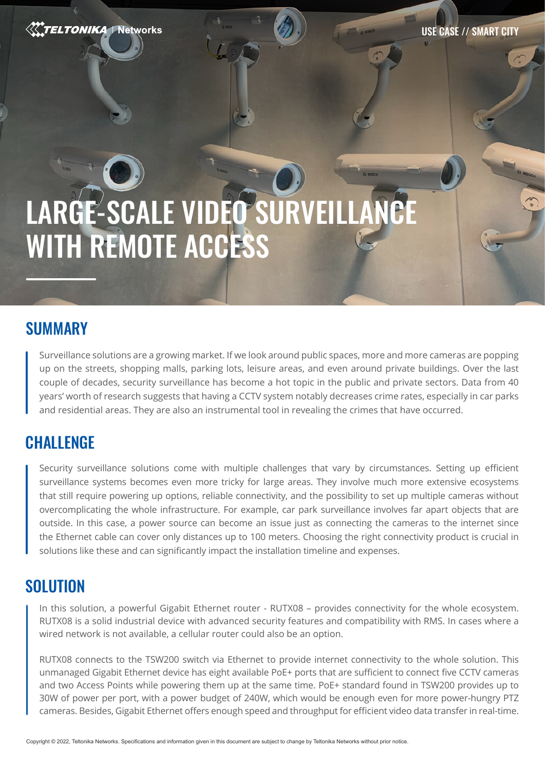**TELTONIKA | Networks** 

# LARGE-SCALE VIDEO SURVEILLANCE WITH REMOTE ACCESS

## SUMMARY

Surveillance solutions are a growing market. If we look around public spaces, more and more cameras are popping up on the streets, shopping malls, parking lots, leisure areas, and even around private buildings. Over the last couple of decades, security surveillance has become a hot topic in the public and private sectors. Data from 40 years' worth of research suggests that having a CCTV system notably decreases crime rates, especially in car parks and residential areas. They are also an instrumental tool in revealing the crimes that have occurred.

## **CHALLENGE**

Security surveillance solutions come with multiple challenges that vary by circumstances. Setting up efficient surveillance systems becomes even more tricky for large areas. They involve much more extensive ecosystems that still require powering up options, reliable connectivity, and the possibility to set up multiple cameras without overcomplicating the whole infrastructure. For example, car park surveillance involves far apart objects that are outside. In this case, a power source can become an issue just as connecting the cameras to the internet since the Ethernet cable can cover only distances up to 100 meters. Choosing the right connectivity product is crucial in solutions like these and can significantly impact the installation timeline and expenses.

## **SOLUTION**

In this solution, a powerful Gigabit Ethernet router - RUTX08 – provides connectivity for the whole ecosystem. RUTX08 is a solid industrial device with advanced security features and compatibility with RMS. In cases where a wired network is not available, a cellular router could also be an option.

RUTX08 connects to the TSW200 switch via Ethernet to provide internet connectivity to the whole solution. This unmanaged Gigabit Ethernet device has eight available PoE+ ports that are sufficient to connect five CCTV cameras and two Access Points while powering them up at the same time. PoE+ standard found in TSW200 provides up to 30W of power per port, with a power budget of 240W, which would be enough even for more power-hungry PTZ cameras. Besides, Gigabit Ethernet offers enough speed and throughput for efficient video data transfer in real-time.